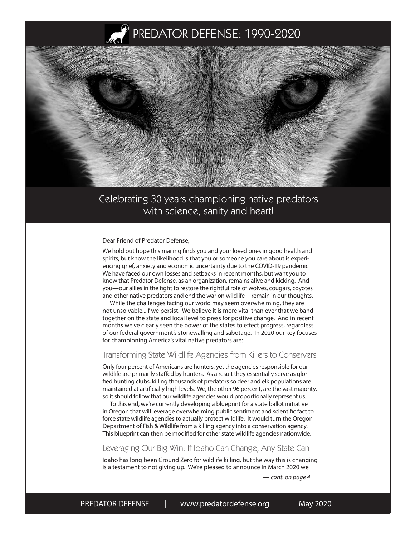



### Celebrating 30 years championing native predators with science, sanity and heart!

Dear Friend of Predator Defense,

We hold out hope this mailing finds you and your loved ones in good health and spirits, but know the likelihood is that you or someone you care about is experiencing grief, anxiety and economic uncertainty due to the COVID-19 pandemic. We have faced our own losses and setbacks in recent months, but want you to know that Predator Defense, as an organization, remains alive and kicking. And you—our allies in the fight to restore the rightful role of wolves, cougars, coyotes and other native predators and end the war on wildlife—remain in our thoughts.

While the challenges facing our world may seem overwhelming, they are not unsolvable...if we persist. We believe it is more vital than ever that we band together on the state and local level to press for positive change. And in recent months we've clearly seen the power of the states to effect progress, regardless of our federal government's stonewalling and sabotage. In 2020 our key focuses for championing America's vital native predators are:

#### Transforming State Wildlife Agencies from Killers to Conservers

Only four percent of Americans are hunters, yet the agencies responsible for our wildlife are primarily staffed by hunters. As a result they essentially serve as glorified hunting clubs, killing thousands of predators so deer and elk populations are maintained at artificially high levels. We, the other 96 percent, are the vast majority, so it should follow that our wildlife agencies would proportionally represent us.

To this end, we're currently developing a blueprint for a state ballot initiative in Oregon that will leverage overwhelming public sentiment and scientific fact to force state wildlife agencies to actually protect wildlife. It would turn the Oregon Department of Fish & Wildlife from a killing agency into a conservation agency. This blueprint can then be modified for other state wildlife agencies nationwide.

#### Leveraging Our Big Win: If Idaho Can Change, Any State Can

Idaho has long been Ground Zero for wildlife killing, but the way this is changing is a testament to not giving up. We're pleased to announce In March 2020 we

— *cont. on page 4*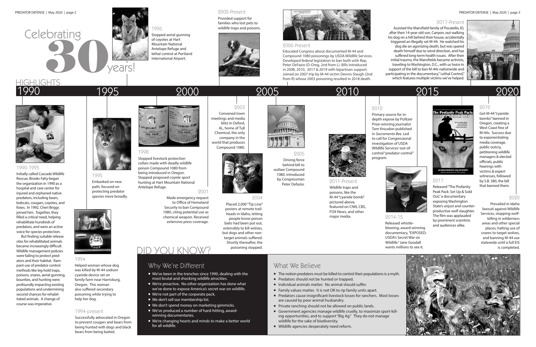# of coyotes at Hart<br>Mountain National<br>Antelope Refuge and<br>International Airport.<br>School at Portland International Airport. **Celebrating**



## 1995 2000 2005 2010 2015

#### 1998

Stopped livestock protection collars made with deadly wildlife poison Compound 1080 from being introduced in Oregon. Stopped proposed coyote sport hunting at Hart Mountain National Antelope Refuge.

Educated Congress about documented M-44 and Compound 1080 poisonings by USDA Wildlife Services. Developed federal legislation to ban both with Rep. Peter DeFazio (D-Oreg, 2nd from L). Bills introduced in 2008, 2010, 2017 & 2019 with bipartisan support. Joined on 2007 trip by M-44 victim Dennis Slaugh (2nd from R) whose 2003 poisoning resulted in 2018 death. HIGHLIGHTS Note 2003 poisoning resulted in 2018 death. Which features multiple victims we've helped.

#### 2002-Present

Provided support for families who lost pets to wildlife traps and poisons.





major media.

#### 2006-Present

#### 1994-present

Successfully advocated in Oregon to prevent cougars and bears from being hunted with dogs and black bears from being baited.



#### 1990-1995

Initially called Cascade Wildlife Rescue, Brooks Fahy began the organization in 1990 as a hospital and care center for injured and orphaned native predators, including bears, bobcats, cougars, coyotes, and foxes. In 1992, Cheri Briggs joined him. Together, they filled a critical need, helping rehabilitate hundreds of predators, and were an active voice for species protection.

But finding suitable release sites for rehabilitated animals became increasingly difficult. Wildlife management policies were failing to protect predators and their habitat. Rampant use of predator control methods like leg-hold traps, poisons, snares, aerial gunning, bounties, and hunting were profoundly impacting existing populations and undermining second chances for rehabilitated animals. A change of course was imperative.



## 1995

Embarked on new path, focused on protecting predator species more broadly.



## 1990





depth expose by Pulitzer



Primary source for in-Prize-winning journalist Tom Knusdon published in *Sacramento Bee.* Led to call for Congressional investigation of USDA Wildlife Services' out-ofcontrol "predator control" program.



2005 Driving force behind bill to outlaw Compound 1080, introduced by Congressman Peter Defazio.



2003

- We've been in the trenches since 1990, dealing with the most brutal and shocking wildlife atrocities.
- We're proactive. No other organization has done what we've done to expose America's secret war on wildlife.
- We're not part of the corporate pack.
- We don't sell our membership list.
- We don't spend money on marketing gimmicks.
- We've produced a number of hard-hitting, awardwinning documentaries.
- We're changing hearts and minds to make a better world for all wildlife.

Convened town meetings and media blitz in Oxford, AL, home of Tull Chemical, the only company in the world that produces Compound 1080.

#### 2001

Assisted the Mansfield family of Pocatello, ID, after their 14-year-old son, Canyon, out walking his dog on a hill behind their house, accidentally triggered an illegally set M-44. He watched his dog die an agonizing death, but was spared death himself due to wind direction, and has suffered long-term health issues. After their initial trauma, the Mansfields became activists, traveling to Washington, D.C., with us twice in support of the bill to ban M-44s nationwide and participating in the documentary," Lethal Control,"<br>which features multiple victims we've helped.



Made emergency request to Office of Homeland Security to ban Compound 1080, citing potential use as chemical weapon. Received extensive press coverage.

#### 2004



Placed 2,000 "Tip Line" posters at remote trailheads in Idaho, letting people know poison baits had been put out, ostensibly to kill wolves, but dogs and other nontarget animals suffered. Shortly thereafter, the poisoning stopped.

### What We Believe

- The notion predators must be killed to control their populations is a myth.
- **Predators should not be hunted or trapped.**
- Individual animals matter. No animal should suffer.
- Family values matter. It is not OK to rip family units apart.
- **Predators cause insignificant livestock losses for ranchers. Most losses** are caused by poor animal husbandry.
- **Private ranching should not be allowed on public lands.**
- Government agencies manage wildlife cruelly, to maximize sport-killing opportunities, and to support "Big Ag." They do not manage wildlife for the sake of biodiversity.
- Wildlife agencies desperately need reform.



2014-15

Released whistleblowing, award-winning documentary, "EXPOSED: USDA's Secret War on Wildlife." Jane Goodall wants millions to see it.



#### 1994

Helped woman whose dog was killed by M-44 sodium cyanide device set on family farm near Harrisburg, Oregon. This woman also suffered secondary poisoning while trying to help her dog.

2020

#### 2019

Got M-44 "cyanide bombs" banned in Oregon, creating a West Coast free of M-44s. Success due to exponentiating media coverage, public outcry, petitioning wildlife managers & elected officials, public hearings with victims & expert witnesses, followed by S.B. 580, the bill that banned them.

#### 2020

Prevailed in Idaho lawsuit against Wildlife Services, stopping wolfkilling in wilderness areas and other special places, halting use of snares to target wolves, and banning M-44 use statewide until a full EIS is completed.





### Why We're Different

## DID YOU KNOW?

#### 2017

Released "The Profanity Peak Pack: Set Up & Sold Out," a documentary exposing Washington State's unjust and counterproductive wolf slaughter. The film was applauded by prominent scientists and audiences alike.

#### 2017-Present